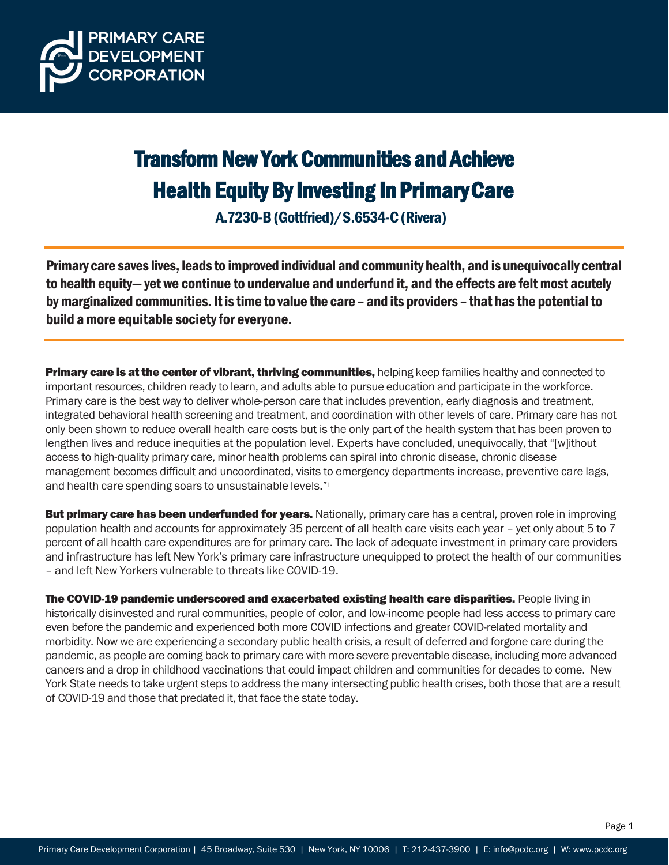

# Transform New York Communities and Achieve Health Equity By Investing In Primary Care

A.7230-B(Gottfried)/S.6534-C(Rivera)

Primary care saves lives, leads to improved individual and community health, and is unequivocally central to health equity— yet we continue to undervalue and underfund it, and the effects are felt most acutely by marginalized communities. It is time to value the care – and its providers – that has the potential to build a more equitable society for everyone.

Primary care is at the center of vibrant, thriving communities, helping keep families healthy and connected to important resources, children ready to learn, and adults able to pursue education and participate in the workforce. Primary care is the best way to deliver whole-person care that includes prevention, early diagnosis and treatment, integrated behavioral health screening and treatment, and coordination with other levels of care. Primary care has not only been shown to reduce overall health care costs but is the only part of the health system that has been proven to lengthen lives and reduce inequities at the population level. Experts have concluded, unequivocally, that "[w]ithout access to high-quality primary care, minor health problems can spiral into chronic disease, chronic disease management becomes difficult and uncoordinated, visits to emergency departments increase, preventive care lags, and health care spending soars to unsustainable levels."[i](#page-3-0)

But primary care has been underfunded for years. Nationally, primary care has a central, proven role in improving population health and accounts for approximately 35 percent of all health care visits each year – yet only about 5 to 7 percent of all health care expenditures are for primary care. The lack of adequate investment in primary care providers and infrastructure has left New York's primary care infrastructure unequipped to protect the health of our communities – and left New Yorkers vulnerable to threats like COVID-19.

The COVID-19 pandemic underscored and exacerbated existing health care disparities. People living in historically disinvested and rural communities, people of color, and low-income people had less access to primary care even before the pandemic and experienced both more COVID infections and greater COVID-related mortality and morbidity. Now we are experiencing a secondary public health crisis, a result of deferred and forgone care during the pandemic, as people are coming back to primary care with more severe preventable disease, including more advanced cancers and a drop in childhood vaccinations that could impact children and communities for decades to come. New York State needs to take urgent steps to address the many intersecting public health crises, both those that are a result of COVID-19 and those that predated it, that face the state today.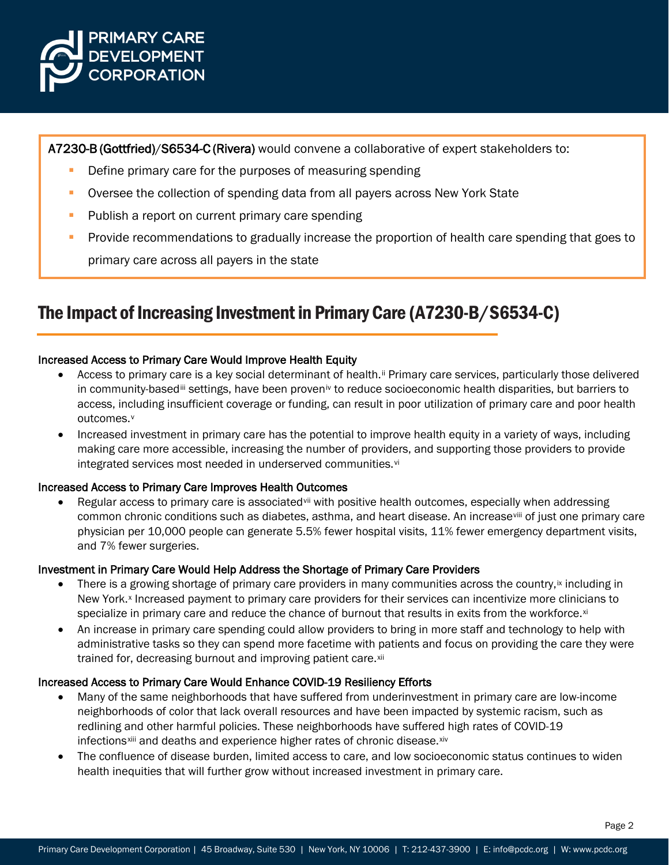

A7230-B (Gottfried)/S6534-C (Rivera) would convene a collaborative of expert stakeholders to:

- Define primary care for the purposes of measuring spending
- Oversee the collection of spending data from all payers across New York State
- **Publish a report on current primary care spending**
- **Provide recommendations to gradually increase the proportion of health care spending that goes to** primary care across all payers in the state

## The Impact of Increasing Investment in Primary Care (A7230-B/S6534-C)

### Increased Access to Primary Care Would Improve Health Equity

- Access to primary care is a key social determinant of health.<sup>[ii](#page-3-1)</sup> Primary care services, particularly those delivered in community-based[iii](#page-3-2) settings, have been proven[iv](#page-3-3) to reduce socioeconomic health disparities, but barriers to access, including insufficient coverage or funding, can result in poor utilization of primary care and poor health outcomes.[v](#page-3-4)
- Increased investment in primary care has the potential to improve health equity in a variety of ways, including making care more accessible, increasing the number of providers, and supporting those providers to provide integrated ser[vi](#page-3-5)ces most needed in underserved communities.<sup>vi</sup>

#### Increased Access to Primary Care Improves Health Outcomes

• Regular access to primary care is associated<sup>[vii](#page-3-6)</sup> with positive health outcomes, especially when addressing common chronic conditions such as diabetes, asthma, and heart disease. An increase[viii](#page-3-7) of just one primary care physician per 10,000 people can generate 5.5% fewer hospital visits, 11% fewer emergency department visits, and 7% fewer surgeries.

#### Investment in Primary Care Would Help Address the Shortage of Primary Care Providers

- There is a growing shortage of primary care providers in many communities across the country, [ix](#page-3-8) including in New York.<sup>[x](#page-3-9)</sup> Increased payment to primary care providers for their services can incentivize more clinicians to specialize in primary care and reduce the chance of burnout that results in e[xi](#page-3-10)ts from the workforce.xi
- An increase in primary care spending could allow providers to bring in more staff and technology to help with administrative tasks so they can spend more facetime with patients and focus on providing the care they were trained for, decreasing burnout and improving patient care.[xii](#page-3-11)

#### Increased Access to Primary Care Would Enhance COVID-19 Resiliency Efforts

- Many of the same neighborhoods that have suffered from underinvestment in primary care are low-income neighborhoods of color that lack overall resources and have been impacted by systemic racism, such as redlining and other harmful policies. These neighborhoods have suffered high rates of COVID-19 infections<sup>[xiii](#page-3-12)</sup> and deaths and experience higher rates of chronic disease.[xiv](#page-3-13)
- The confluence of disease burden, limited access to care, and low socioeconomic status continues to widen health inequities that will further grow without increased investment in primary care.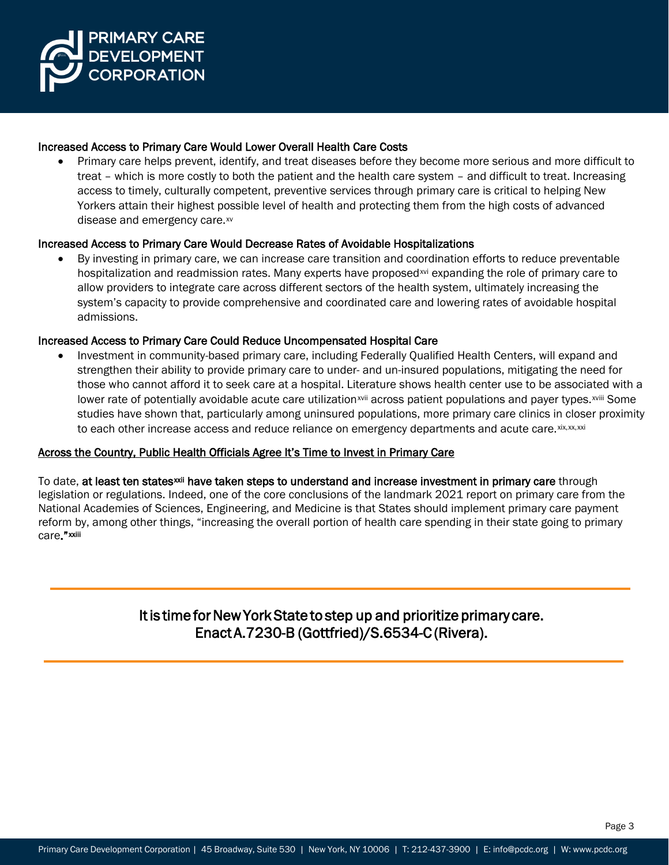

#### Increased Access to Primary Care Would Lower Overall Health Care Costs

• Primary care helps prevent, identify, and treat diseases before they become more serious and more difficult to treat – which is more costly to both the patient and the health care system – and difficult to treat. Increasing access to timely, culturally competent, preventive services through primary care is critical to helping New Yorkers attain their highest possible level of health and protecting them from the high costs of advanced disease and emergency care.[xv](#page-3-14)

#### Increased Access to Primary Care Would Decrease Rates of Avoidable Hospitalizations

• By investing in primary care, we can increase care transition and coordination efforts to reduce preventable hospitalization and readmission rates. Many experts have proposed[xvi](#page-3-15) expanding the role of primary care to allow providers to integrate care across different sectors of the health system, ultimately increasing the system's capacity to provide comprehensive and coordinated care and lowering rates of avoidable hospital admissions.

#### Increased Access to Primary Care Could Reduce Uncompensated Hospital Care

• Investment in community-based primary care, including Federally Qualified Health Centers, will expand and strengthen their ability to provide primary care to under- and un-insured populations, mitigating the need for those who cannot afford it to seek care at a hospital. Literature shows health center use to be associated with a lower rate of potentially avoidable acute care utilization<sup>[xvii](#page-3-16)</sup> across pat[i](#page-3-17)ent populations and payer types.<sup>xviii</sup> Some studies have shown that, particularly among uninsured populations, more primary care clinics in closer proximity to each other increase access and reduce reliance on emergency departments and acute care.[xix](#page-3-18),[xx](#page-3-19),[xxi](#page-3-20)

#### Across the Country, Public Health Officials Agree It's Time to Invest in Primary Care

To date, **at least ten states<sup>xii</sup> have taken steps to understand and increase investment in primary care** through care."<sup>xxiii</sup> legislation or regulations. Indeed, one of the core conclusions of the landmark 2021 report on primary care from the National Academies of Sciences, Engineering, and Medicine is that States should implement primary care payment reform by, among other things, "increasing the overall portion of health care spending in their state going to primary

> It is time for New York State to step up and prioritize primary care. Enact A.7230-B (Gottfried)/S.6534-C (Rivera).